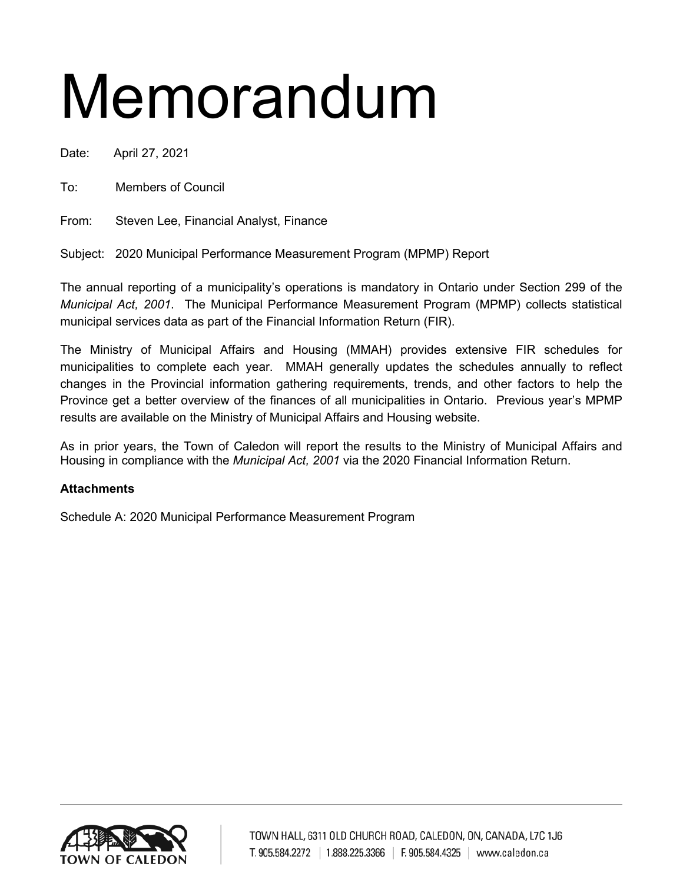# Memorandum

Date: April 27, 2021

To: Members of Council

From: Steven Lee, Financial Analyst, Finance

Subject: 2020 Municipal Performance Measurement Program (MPMP) Report

The annual reporting of a municipality's operations is mandatory in Ontario under Section 299 of the *Municipal Act, 2001*. The Municipal Performance Measurement Program (MPMP) collects statistical municipal services data as part of the Financial Information Return (FIR).

The Ministry of Municipal Affairs and Housing (MMAH) provides extensive FIR schedules for municipalities to complete each year. MMAH generally updates the schedules annually to reflect changes in the Provincial information gathering requirements, trends, and other factors to help the Province get a better overview of the finances of all municipalities in Ontario. Previous year's MPMP results are available on the Ministry of Municipal Affairs and Housing website.

As in prior years, the Town of Caledon will report the results to the Ministry of Municipal Affairs and Housing in compliance with the *Municipal Act, 2001* via the 2020 Financial Information Return.

# **Attachments**

Schedule A: 2020 Municipal Performance Measurement Program

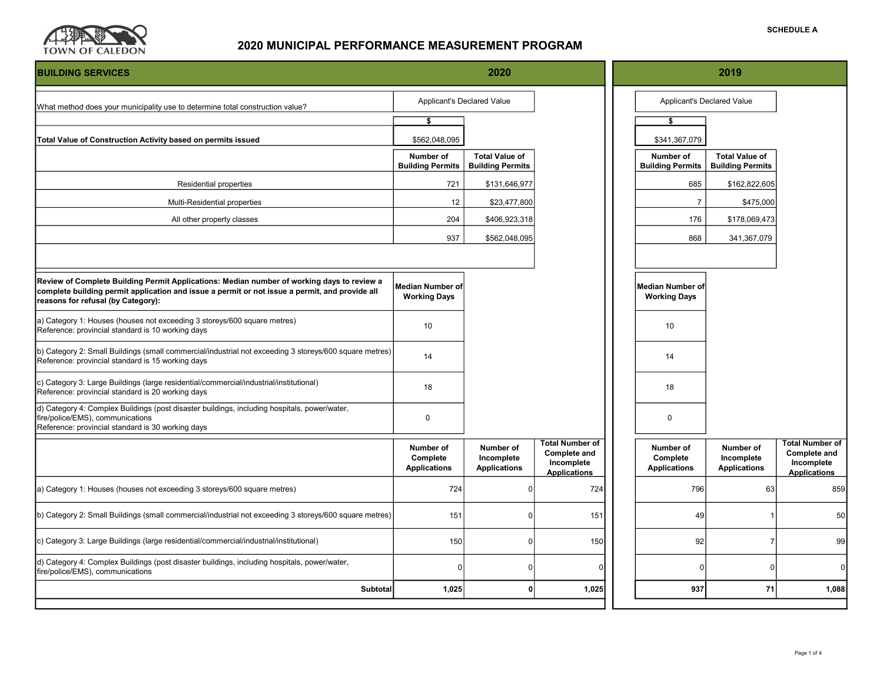

| <b>BUILDING SERVICES</b>                                                                                                                                                                                                           |                                              | 2020                                             |                                                                                    |                                                | 2019                                             |                                                                                    |
|------------------------------------------------------------------------------------------------------------------------------------------------------------------------------------------------------------------------------------|----------------------------------------------|--------------------------------------------------|------------------------------------------------------------------------------------|------------------------------------------------|--------------------------------------------------|------------------------------------------------------------------------------------|
| What method does your municipality use to determine total construction value?                                                                                                                                                      | Applicant's Declared Value                   |                                                  |                                                                                    | Applicant's Declared Value                     |                                                  |                                                                                    |
|                                                                                                                                                                                                                                    | \$                                           |                                                  |                                                                                    | \$                                             |                                                  |                                                                                    |
| Total Value of Construction Activity based on permits issued                                                                                                                                                                       | \$562,048,095                                |                                                  |                                                                                    | \$341,367,079                                  |                                                  |                                                                                    |
|                                                                                                                                                                                                                                    | Number of<br><b>Building Permits</b>         | <b>Total Value of</b><br><b>Building Permits</b> |                                                                                    | Number of<br><b>Building Permits</b>           | <b>Total Value of</b><br><b>Building Permits</b> |                                                                                    |
| <b>Residential properties</b>                                                                                                                                                                                                      | 721                                          | \$131,646,977                                    |                                                                                    | 685                                            | \$162,822,605                                    |                                                                                    |
| Multi-Residential properties                                                                                                                                                                                                       | 12                                           | \$23,477,800                                     |                                                                                    | $\overline{7}$                                 | \$475,000                                        |                                                                                    |
| All other property classes                                                                                                                                                                                                         | 204                                          | \$406,923,318                                    |                                                                                    | 176                                            | \$178,069,473                                    |                                                                                    |
|                                                                                                                                                                                                                                    | 937                                          | \$562,048,095                                    |                                                                                    | 868                                            | 341,367,079                                      |                                                                                    |
|                                                                                                                                                                                                                                    |                                              |                                                  |                                                                                    |                                                |                                                  |                                                                                    |
| Review of Complete Building Permit Applications: Median number of working days to review a<br>complete building permit application and issue a permit or not issue a permit, and provide all<br>reasons for refusal (by Category): | Median Number of<br><b>Working Days</b>      |                                                  |                                                                                    | <b>Median Number of</b><br><b>Working Days</b> |                                                  |                                                                                    |
| a) Category 1: Houses (houses not exceeding 3 storeys/600 square metres)<br>Reference: provincial standard is 10 working days                                                                                                      | 10                                           |                                                  |                                                                                    | 10                                             |                                                  |                                                                                    |
| b) Category 2: Small Buildings (small commercial/industrial not exceeding 3 storeys/600 square metres)<br>Reference: provincial standard is 15 working days                                                                        | 14                                           |                                                  |                                                                                    | 14                                             |                                                  |                                                                                    |
| c) Category 3: Large Buildings (large residential/commercial/industrial/institutional)<br>Reference: provincial standard is 20 working days                                                                                        | 18                                           |                                                  |                                                                                    | 18                                             |                                                  |                                                                                    |
| d) Category 4: Complex Buildings (post disaster buildings, including hospitals, power/water,<br>fire/police/EMS), communications<br>Reference: provincial standard is 30 working days                                              | $\mathbf 0$                                  |                                                  |                                                                                    | 0                                              |                                                  |                                                                                    |
|                                                                                                                                                                                                                                    | Number of<br>Complete<br><b>Applications</b> | Number of<br>Incomplete<br><b>Applications</b>   | <b>Total Number of</b><br><b>Complete and</b><br>Incomplete<br><b>Applications</b> | Number of<br>Complete<br><b>Applications</b>   | Number of<br>Incomplete<br><b>Applications</b>   | <b>Total Number of</b><br><b>Complete and</b><br>Incomplete<br><b>Applications</b> |
| a) Category 1: Houses (houses not exceeding 3 storeys/600 square metres)                                                                                                                                                           | 724                                          | $\mathbf 0$                                      | 724                                                                                | 796                                            | 63                                               | 859                                                                                |
| b) Category 2: Small Buildings (small commercial/industrial not exceeding 3 storeys/600 square metres)                                                                                                                             | 151                                          | $\Omega$                                         | 151                                                                                | 49                                             | $\mathbf 1$                                      | 50                                                                                 |
| c) Category 3: Large Buildings (large residential/commercial/industrial/institutional)                                                                                                                                             | 150                                          | $\mathbf 0$                                      | 150                                                                                | 92                                             | $\overline{7}$                                   | 99                                                                                 |
| d) Category 4: Complex Buildings (post disaster buildings, including hospitals, power/water,<br>fire/police/EMS), communications                                                                                                   | $\Omega$                                     | $\Omega$                                         | U                                                                                  | $\Omega$                                       | $\Omega$                                         | $\overline{0}$                                                                     |
| Subtotal                                                                                                                                                                                                                           | 1,025                                        | $\mathbf{0}$                                     | 1,025                                                                              | 937                                            | 71                                               | 1,088                                                                              |
|                                                                                                                                                                                                                                    |                                              |                                                  |                                                                                    |                                                |                                                  |                                                                                    |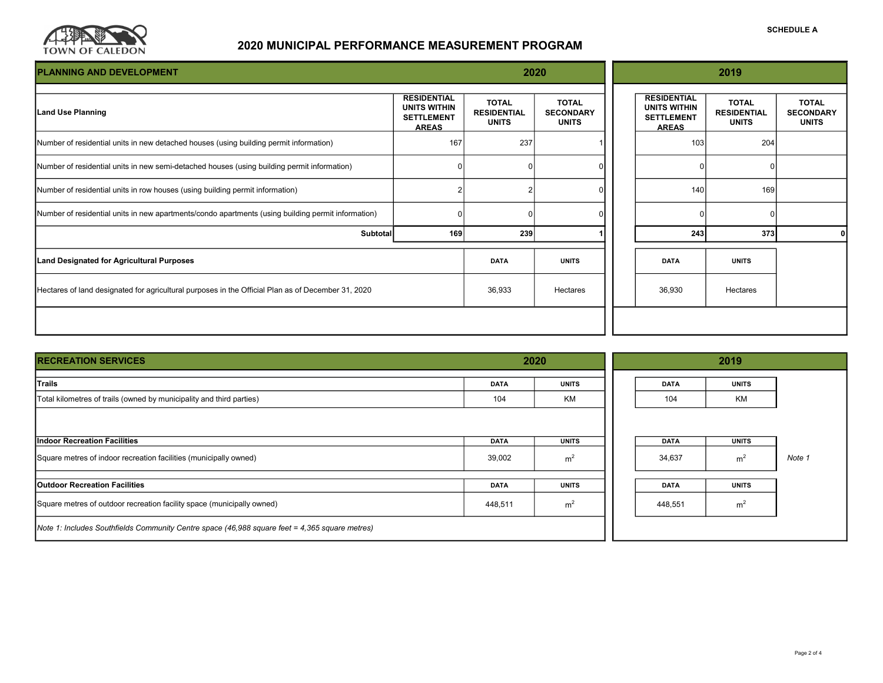

| <b>PLANNING AND DEVELOPMENT</b>                                                                    |                                                                                |                                                    | 2020                                             | 2019 |                                                                                |                                                    |                                                  |
|----------------------------------------------------------------------------------------------------|--------------------------------------------------------------------------------|----------------------------------------------------|--------------------------------------------------|------|--------------------------------------------------------------------------------|----------------------------------------------------|--------------------------------------------------|
| <b>Land Use Planning</b>                                                                           | <b>RESIDENTIAL</b><br><b>UNITS WITHIN</b><br><b>SETTLEMENT</b><br><b>AREAS</b> | <b>TOTAL</b><br><b>RESIDENTIAL</b><br><b>UNITS</b> | <b>TOTAL</b><br><b>SECONDARY</b><br><b>UNITS</b> |      | <b>RESIDENTIAL</b><br><b>UNITS WITHIN</b><br><b>SETTLEMENT</b><br><b>AREAS</b> | <b>TOTAL</b><br><b>RESIDENTIAL</b><br><b>UNITS</b> | <b>TOTAL</b><br><b>SECONDARY</b><br><b>UNITS</b> |
| Number of residential units in new detached houses (using building permit information)             | 167                                                                            | 237                                                |                                                  |      | 103                                                                            | 204                                                |                                                  |
| Number of residential units in new semi-detached houses (using building permit information)        |                                                                                |                                                    | O                                                |      |                                                                                |                                                    |                                                  |
| Number of residential units in row houses (using building permit information)                      |                                                                                |                                                    |                                                  |      | 140                                                                            | 169                                                |                                                  |
| Number of residential units in new apartments/condo apartments (using building permit information) |                                                                                |                                                    |                                                  |      |                                                                                |                                                    |                                                  |
| Subtotal                                                                                           | 169                                                                            | 239                                                |                                                  |      | 243                                                                            | 373                                                | 0                                                |
| <b>Land Designated for Agricultural Purposes</b>                                                   |                                                                                | <b>DATA</b>                                        | <b>UNITS</b>                                     |      | <b>DATA</b>                                                                    | <b>UNITS</b>                                       |                                                  |
| Hectares of land designated for agricultural purposes in the Official Plan as of December 31, 2020 |                                                                                | 36,933                                             | Hectares                                         |      | 36,930                                                                         | Hectares                                           |                                                  |
|                                                                                                    |                                                                                |                                                    |                                                  |      |                                                                                |                                                    |                                                  |

| <b>RECREATION SERVICES</b>                                                                     | 2020        |                |  | 2019        |                |        |  |
|------------------------------------------------------------------------------------------------|-------------|----------------|--|-------------|----------------|--------|--|
| <b>Trails</b>                                                                                  | <b>DATA</b> | <b>UNITS</b>   |  | <b>DATA</b> | <b>UNITS</b>   |        |  |
| Total kilometres of trails (owned by municipality and third parties)                           | 104         | KM             |  | 104         | KM             |        |  |
|                                                                                                |             |                |  |             |                |        |  |
| Indoor Recreation Facilities                                                                   | <b>DATA</b> | <b>UNITS</b>   |  | <b>DATA</b> | <b>UNITS</b>   |        |  |
| Square metres of indoor recreation facilities (municipally owned)                              | 39,002      | m <sup>2</sup> |  | 34,637      | m <sup>2</sup> | Note 1 |  |
| <b>Outdoor Recreation Facilities</b>                                                           | <b>DATA</b> | <b>UNITS</b>   |  | <b>DATA</b> | <b>UNITS</b>   |        |  |
| Square metres of outdoor recreation facility space (municipally owned)                         | 448,511     | m <sup>2</sup> |  | 448,551     | m              |        |  |
| Note 1: Includes Southfields Community Centre space (46,988 square feet = 4,365 square metres) |             |                |  |             |                |        |  |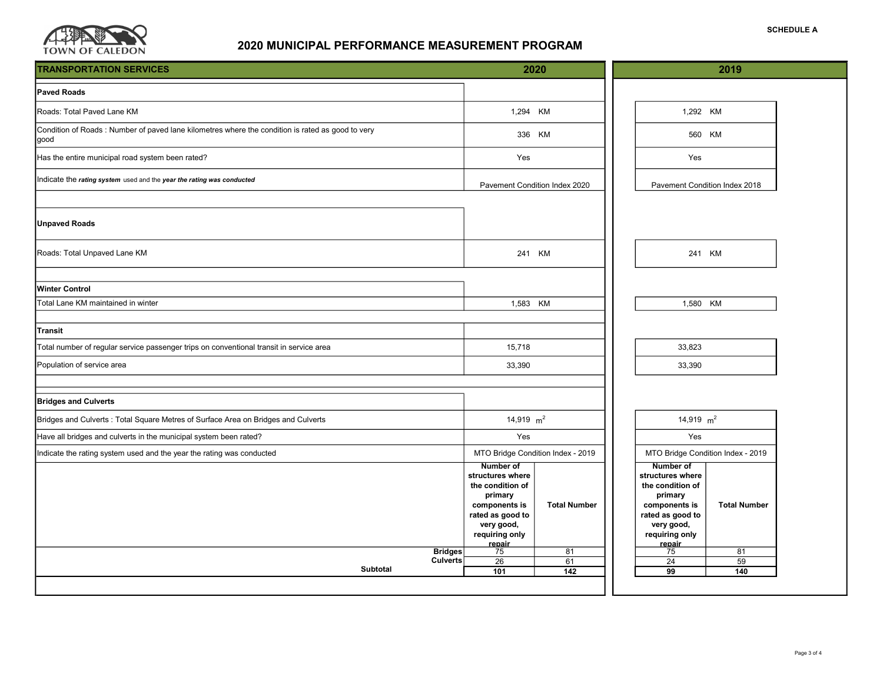

| <b>TRANSPORTATION SERVICES</b>                                                                           | 2020                                                                                                                                                          | 2019                                                                                                                                                          |  |  |
|----------------------------------------------------------------------------------------------------------|---------------------------------------------------------------------------------------------------------------------------------------------------------------|---------------------------------------------------------------------------------------------------------------------------------------------------------------|--|--|
| <b>Paved Roads</b>                                                                                       |                                                                                                                                                               |                                                                                                                                                               |  |  |
| Roads: Total Paved Lane KM                                                                               | 1,294 KM                                                                                                                                                      | 1,292 KM                                                                                                                                                      |  |  |
| Condition of Roads: Number of paved lane kilometres where the condition is rated as good to very<br>good | 336 KM                                                                                                                                                        | 560 KM                                                                                                                                                        |  |  |
| Has the entire municipal road system been rated?                                                         | Yes                                                                                                                                                           | Yes                                                                                                                                                           |  |  |
| Indicate the rating system used and the year the rating was conducted                                    | Pavement Condition Index 2020                                                                                                                                 | Pavement Condition Index 2018                                                                                                                                 |  |  |
| Unpaved Roads                                                                                            |                                                                                                                                                               |                                                                                                                                                               |  |  |
| Roads: Total Unpaved Lane KM                                                                             | 241 KM                                                                                                                                                        | 241 KM                                                                                                                                                        |  |  |
| <b>Winter Control</b>                                                                                    |                                                                                                                                                               |                                                                                                                                                               |  |  |
| Total Lane KM maintained in winter                                                                       | 1,583 KM                                                                                                                                                      | 1,580 KM                                                                                                                                                      |  |  |
| Transit                                                                                                  |                                                                                                                                                               |                                                                                                                                                               |  |  |
| Total number of regular service passenger trips on conventional transit in service area                  | 15,718                                                                                                                                                        | 33,823                                                                                                                                                        |  |  |
| Population of service area                                                                               | 33,390                                                                                                                                                        | 33,390                                                                                                                                                        |  |  |
| <b>Bridges and Culverts</b>                                                                              |                                                                                                                                                               |                                                                                                                                                               |  |  |
| Bridges and Culverts: Total Square Metres of Surface Area on Bridges and Culverts                        | 14,919 $m^2$                                                                                                                                                  | 14,919 $m2$                                                                                                                                                   |  |  |
| Have all bridges and culverts in the municipal system been rated?                                        | Yes                                                                                                                                                           | Yes                                                                                                                                                           |  |  |
| Indicate the rating system used and the year the rating was conducted                                    | MTO Bridge Condition Index - 2019<br>Number of<br>structures where<br>the condition of<br>primary<br>components is<br><b>Total Number</b><br>rated as good to | MTO Bridge Condition Index - 2019<br>Number of<br>structures where<br>the condition of<br>primary<br>components is<br><b>Total Number</b><br>rated as good to |  |  |
| <b>Subtotal</b>                                                                                          | very good,<br>requiring only<br>repair<br><b>Bridges</b><br>81<br>75<br><b>Culverts</b><br>26<br>61<br>101<br>$\overline{142}$                                | very good,<br>requiring only<br>repair<br>75<br>81<br>24<br>59<br>99<br>140                                                                                   |  |  |
|                                                                                                          |                                                                                                                                                               |                                                                                                                                                               |  |  |